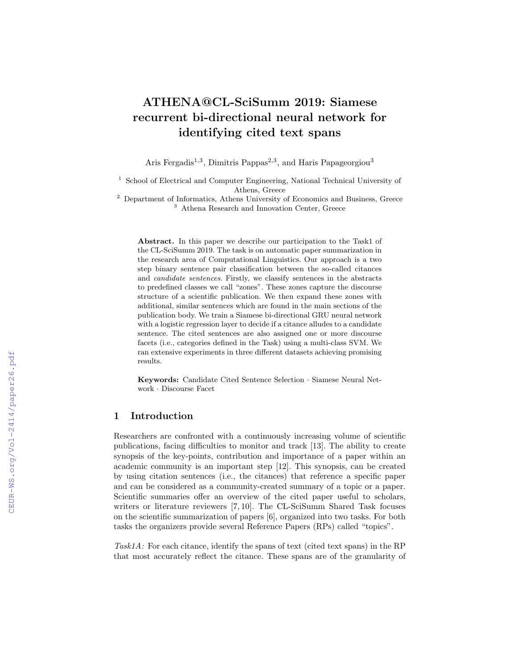# **ATHENA@CL-SciSumm 2019: Siamese recurrent bi-directional neural network for identifying cited text spans**

Aris Fergadis<sup>1,3</sup>, Dimitris Pappas<sup>2,3</sup>, and Haris Papageorgiou<sup>3</sup>

<sup>1</sup> School of Electrical and Computer Engineering, National Technical University of Athens, Greece

<sup>2</sup> Department of Informatics, Athens University of Economics and Business, Greece <sup>3</sup> Athena Research and Innovation Center, Greece

**Abstract.** In this paper we describe our participation to the Task1 of the CL-SciSumm 2019. The task is on automatic paper summarization in the research area of Computational Linguistics. Our approach is a two step binary sentence pair classification between the so-called citances and *candidate sentences*. Firstly, we classify sentences in the abstracts to predefined classes we call "zones". These zones capture the discourse structure of a scientific publication. We then expand these zones with additional, similar sentences which are found in the main sections of the publication body. We train a Siamese bi-directional GRU neural network with a logistic regression layer to decide if a citance alludes to a candidate sentence. The cited sentences are also assigned one or more discourse facets (i.e., categories defined in the Task) using a multi-class SVM. We ran extensive experiments in three different datasets achieving promising results.

**Keywords:** Candidate Cited Sentence Selection *·* Siamese Neural Network *·* Discourse Facet

#### **1 Introduction**

Researchers are confronted with a continuously increasing volume of scientific publications, facing difficulties to monitor and track [13]. The ability to create synopsis of the key-points, contribution and importance of a paper within an academic community is an important step [12]. This synopsis, can be created by using citation sentences (i.e., the citances) that reference a specific paper and can be considered as a community-created summary of a topic or a paper. Scientific summaries offer an overview of the cited paper useful to scholars, writers or literature reviewers [7, 10]. The CL-SciSumm Shared Task focuses on the scientific summarization of papers [6], organized into two tasks. For both tasks the organizers provide several Reference Papers (RPs) called "topics".

*Task1A:* For each citance, identify the spans of text (cited text spans) in the RP that most accurately reflect the citance. These spans are of the granularity of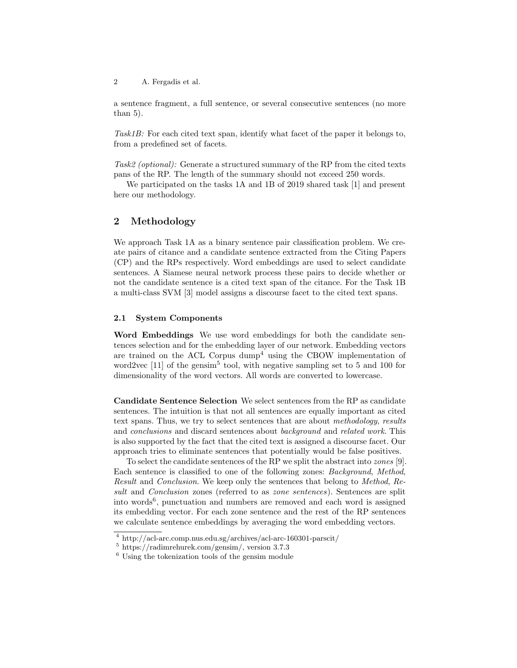2 A. Fergadis et al.

a sentence fragment, a full sentence, or several consecutive sentences (no more than 5).

*Task1B:* For each cited text span, identify what facet of the paper it belongs to, from a predefined set of facets.

*Task2 (optional):* Generate a structured summary of the RP from the cited texts pans of the RP. The length of the summary should not exceed 250 words.

We participated on the tasks 1A and 1B of 2019 shared task [1] and present here our methodology.

## **2 Methodology**

We approach Task 1A as a binary sentence pair classification problem. We create pairs of citance and a candidate sentence extracted from the Citing Papers (CP) and the RPs respectively. Word embeddings are used to select candidate sentences. A Siamese neural network process these pairs to decide whether or not the candidate sentence is a cited text span of the citance. For the Task 1B a multi-class SVM [3] model assigns a discourse facet to the cited text spans.

#### **2.1 System Components**

**Word Embeddings** We use word embeddings for both the candidate sentences selection and for the embedding layer of our network. Embedding vectors are trained on the ACL Corpus dump<sup>4</sup> using the CBOW implementation of word2vec  $[11]$  of the gensim<sup>5</sup> tool, with negative sampling set to 5 and 100 for dimensionality of the word vectors. All words are converted to lowercase.

**Candidate Sentence Selection** We select sentences from the RP as candidate sentences. The intuition is that not all sentences are equally important as cited text spans. Thus, we try to select sentences that are about *methodology*, *results* and *conclusions* and discard sentences about *background* and *related work*. This is also supported by the fact that the cited text is assigned a discourse facet. Our approach tries to eliminate sentences that potentially would be false positives.

To select the candidate sentences of the RP we split the abstract into *zones* [9]. Each sentence is classified to one of the following zones: *Background*, *Method*, *Result* and *Conclusion*. We keep only the sentences that belong to *Method*, *Result* and *Conclusion* zones (referred to as *zone sentences*). Sentences are split into words<sup>6</sup>, punctuation and numbers are removed and each word is assigned its embedding vector. For each zone sentence and the rest of the RP sentences we calculate sentence embeddings by averaging the word embedding vectors.

 $^4$ http://acl-arc.comp.nus.edu.sg/archives/acl-arc-160301-parscit/  $\,$ 

 $5 \text{ https://radimrehurek.com/gensim/}$ , version 3.7.3

 $6$  Using the tokenization tools of the gensim module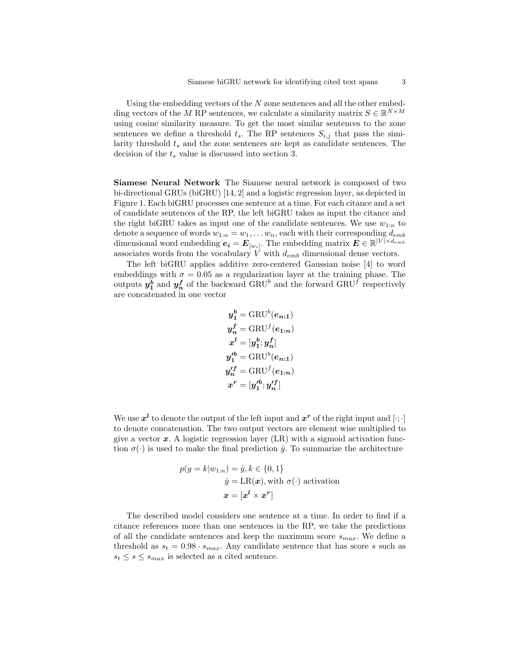Using the embedding vectors of the *N* zone sentences and all the other embedding vectors of the *M* RP sentences, we calculate a similarity matrix  $S \in \mathbb{R}^{N \times M}$ using cosine similarity measure. To get the most similar sentences to the zone sentences we define a threshold  $t_s$ . The RP sentences  $S_{i,j}$  that pass the similarity threshold *t<sup>s</sup>* and the zone sentences are kept as candidate sentences. The decision of the *t<sup>s</sup>* value is discussed into section 3.

**Siamese Neural Network** The Siamese neural network is composed of two bi-directional GRUs (biGRU) [14, 2] and a logistic regression layer, as depicted in Figure 1. Each biGRU processes one sentence at a time. For each citance and a set of candidate sentences of the RP, the left biGRU takes as input the citance and the right biGRU takes as input one of the candidate sentences. We use  $w_{1:n}$  to denote a sequence of words  $w_{1:n} = w_1, \ldots w_n$ , each with their corresponding  $d_{emb}$ dimensional word embedding  $e_i = E_{[w_i]}$ . The embedding matrix  $E \in \mathbb{R}^{|V| \times d_{emb}}$ associates words from the vocabulary *V* with *demb* dimensional dense vectors.

The left biGRU applies additive zero-centered Gaussian noise [4] to word embeddings with  $\sigma = 0.05$  as a regularization layer at the training phase. The outputs  $y_1^b$  and  $y_n^f$  of the backward GRU<sup>b</sup> and the forward GRU<sup>f</sup> respectively are concatenated in one vector

$$
y_1^b = \text{GRU}^b(e_{n:1})
$$
  
\n
$$
y_n^f = \text{GRU}^f(e_{1:n})
$$
  
\n
$$
x^l = [y_1^b; y_n^f]
$$
  
\n
$$
y_1^{\prime b} = \text{GRU}^b(e_{n:1})
$$
  
\n
$$
y_n^{\prime f} = \text{GRU}^f(e_{1:n})
$$
  
\n
$$
x^r = [y_1^{\prime b}; y_n^{\prime f}]
$$

We use  $x^l$  to denote the output of the left input and  $x^r$  of the right input and  $[\cdot; \cdot]$ to denote concatenation. The two output vectors are element wise multiplied to give a vector  $x$ . A logistic regression layer  $(LR)$  with a sigmoid activation function  $\sigma(\cdot)$  is used to make the final prediction  $\hat{y}$ . To summarize the architecture

$$
p(y = k|w_{1:n}) = \hat{y}, k \in \{0, 1\}
$$

$$
\hat{y} = \text{LR}(\boldsymbol{x}), \text{with } \sigma(\cdot) \text{ activation}
$$

$$
\boldsymbol{x} = [\boldsymbol{x}^{\boldsymbol{l}} \times \boldsymbol{x}^{\boldsymbol{r}}]
$$

The described model considers one sentence at a time. In order to find if a citance references more than one sentences in the RP, we take the predictions of all the candidate sentences and keep the maximum score *smax*. We define a threshold as  $s_t = 0.98 \cdot s_{max}$ . Any candidate sentence that has score *s* such as  $s_t \leq s \leq s_{max}$  is selected as a cited sentence.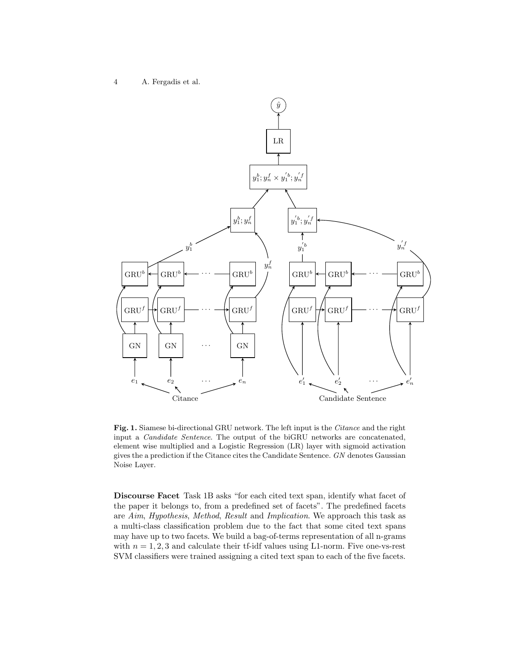4 A. Fergadis et al.



**Fig. 1.** Siamese bi-directional GRU network. The left input is the *Citance* and the right input a *Candidate Sentence*. The output of the biGRU networks are concatenated, element wise multiplied and a Logistic Regression (LR) layer with sigmoid activation gives the a prediction if the Citance cites the Candidate Sentence. *GN* denotes Gaussian Noise Layer.

**Discourse Facet** Task 1B asks "for each cited text span, identify what facet of the paper it belongs to, from a predefined set of facets". The predefined facets are *Aim*, *Hypothesis*, *Method*, *Result* and *Implication*. We approach this task as a multi-class classification problem due to the fact that some cited text spans may have up to two facets. We build a bag-of-terms representation of all n-grams with  $n = 1, 2, 3$  and calculate their tf-idf values using L1-norm. Five one-vs-rest SVM classifiers were trained assigning a cited text span to each of the five facets.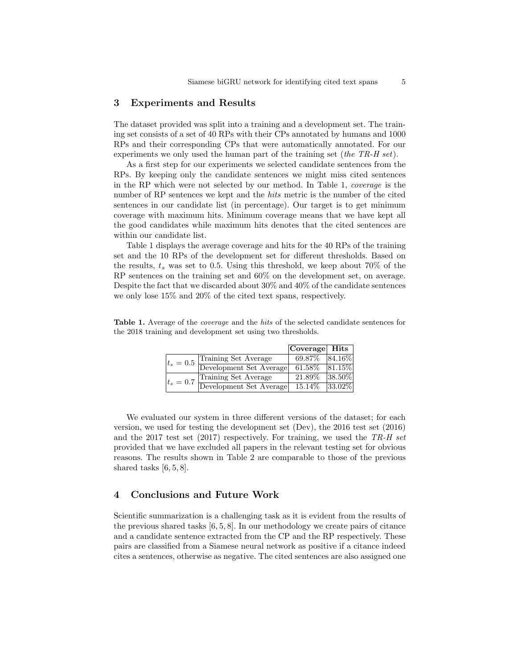#### **3 Experiments and Results**

The dataset provided was split into a training and a development set. The training set consists of a set of 40 RPs with their CPs annotated by humans and 1000 RPs and their corresponding CPs that were automatically annotated. For our experiments we only used the human part of the training set (*the TR-H set*).

As a first step for our experiments we selected candidate sentences from the RPs. By keeping only the candidate sentences we might miss cited sentences in the RP which were not selected by our method. In Table 1, *coverage* is the number of RP sentences we kept and the *hits* metric is the number of the cited sentences in our candidate list (in percentage). Our target is to get minimum coverage with maximum hits. Minimum coverage means that we have kept all the good candidates while maximum hits denotes that the cited sentences are within our candidate list.

Table 1 displays the average coverage and hits for the 40 RPs of the training set and the 10 RPs of the development set for different thresholds. Based on the results,  $t_s$  was set to 0.5. Using this threshold, we keep about 70% of the RP sentences on the training set and 60% on the development set, on average. Despite the fact that we discarded about 30% and 40% of the candidate sentences we only lose 15% and 20% of the cited text spans, respectively.

|  |              |                         | Coverage  Hits |             |
|--|--------------|-------------------------|----------------|-------------|
|  | $t_s=0.5$    | Training Set Average    | 69.87%         | $ 84.16\% $ |
|  |              | Development Set Average | 61.58\%        | 81.15%      |
|  | $ t_s = 0.7$ | Training Set Average    | 21.89\%        | $ 38.50\% $ |
|  |              | Development Set Average | $15.14\%$      | $ 33.02\% $ |

**Table 1.** Average of the *coverage* and the *hits* of the selected candidate sentences for the 2018 training and development set using two thresholds.

We evaluated our system in three different versions of the dataset; for each version, we used for testing the development set (Dev), the 2016 test set (2016) and the 2017 test set (2017) respectively. For training, we used the *TR-H set* provided that we have excluded all papers in the relevant testing set for obvious reasons. The results shown in Table 2 are comparable to those of the previous shared tasks  $[6, 5, 8]$ .

## **4 Conclusions and Future Work**

Scientific summarization is a challenging task as it is evident from the results of the previous shared tasks  $[6, 5, 8]$ . In our methodology we create pairs of citance and a candidate sentence extracted from the CP and the RP respectively. These pairs are classified from a Siamese neural network as positive if a citance indeed cites a sentences, otherwise as negative. The cited sentences are also assigned one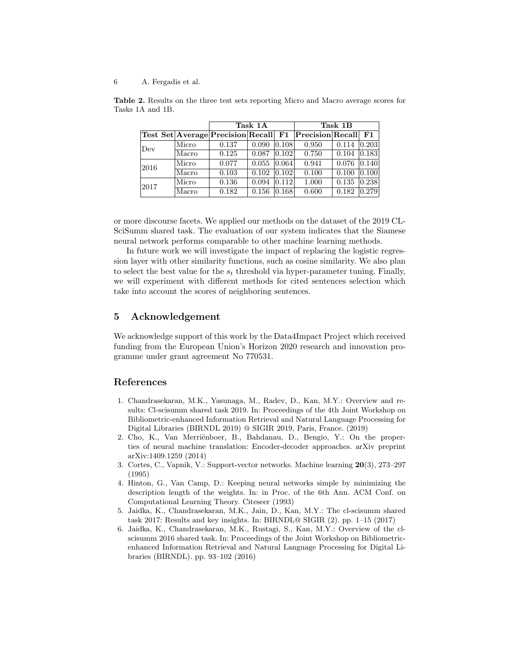#### 6 A. Fergadis et al.

|                   |       | Task 1A                                                  |                   |       | Task 1B |                   |  |
|-------------------|-------|----------------------------------------------------------|-------------------|-------|---------|-------------------|--|
|                   |       | Test Set Average Precision Recall F1 Precision Recall F1 |                   |       |         |                   |  |
| $\overline{D}$ ev | Micro | 0.137                                                    | 0.090             | 0.108 | 0.950   | $0.114$ $ 0.203 $ |  |
|                   | Macro | 0.125                                                    | 0.087             | 0.102 | 0.750   | $0.104$ $ 0.183 $ |  |
| 2016              | Micro | 0.077                                                    | 0.055             | 0.064 | 0.941   | $0.076$ $ 0.140 $ |  |
|                   | Macro | 0.103                                                    | $0.102$ $ 0.102 $ |       | 0.100   | $0.100$ $ 0.100 $ |  |
| 2017              | Micro | 0.136                                                    | 0.094             | 0.112 | 1.000   | $0.135$ $ 0.238 $ |  |
|                   | Macro | 0.182                                                    | 0.156             | 0.168 | 0.600   | $0.182$ $ 0.279 $ |  |

**Table 2.** Results on the three test sets reporting Micro and Macro average scores for Tasks 1A and 1B.

or more discourse facets. We applied our methods on the dataset of the 2019 CL-SciSumm shared task. The evaluation of our system indicates that the Siamese neural network performs comparable to other machine learning methods.

In future work we will investigate the impact of replacing the logistic regression layer with other similarity functions, such as cosine similarity. We also plan to select the best value for the  $s_t$  threshold via hyper-parameter tuning. Finally, we will experiment with different methods for cited sentences selection which take into account the scores of neighboring sentences.

#### **5 Acknowledgement**

We acknowledge support of this work by the Data4Impact Project which received funding from the European Union's Horizon 2020 research and innovation programme under grant agreement No 770531.

## **References**

- 1. Chandrasekaran, M.K., Yasunaga, M., Radev, D., Kan, M.Y.: Overview and results: Cl-scisumm shared task 2019. In: Proceedings of the 4th Joint Workshop on Bibliometric-enhanced Information Retrieval and Natural Language Processing for Digital Libraries (BIRNDL 2019) @ SIGIR 2019, Paris, France. (2019)
- 2. Cho, K., Van Merriënboer, B., Bahdanau, D., Bengio, Y.: On the properties of neural machine translation: Encoder-decoder approaches. arXiv preprint arXiv:1409.1259 (2014)
- 3. Cortes, C., Vapnik, V.: Support-vector networks. Machine learning **20**(3), 273–297 (1995)
- 4. Hinton, G., Van Camp, D.: Keeping neural networks simple by minimizing the description length of the weights. In: in Proc. of the 6th Ann. ACM Conf. on Computational Learning Theory. Citeseer (1993)
- 5. Jaidka, K., Chandrasekaran, M.K., Jain, D., Kan, M.Y.: The cl-scisumm shared task 2017: Results and key insights. In: BIRNDL@ SIGIR (2). pp. 1–15 (2017)
- 6. Jaidka, K., Chandrasekaran, M.K., Rustagi, S., Kan, M.Y.: Overview of the clscisumm 2016 shared task. In: Proceedings of the Joint Workshop on Bibliometricenhanced Information Retrieval and Natural Language Processing for Digital Libraries (BIRNDL). pp. 93–102 (2016)